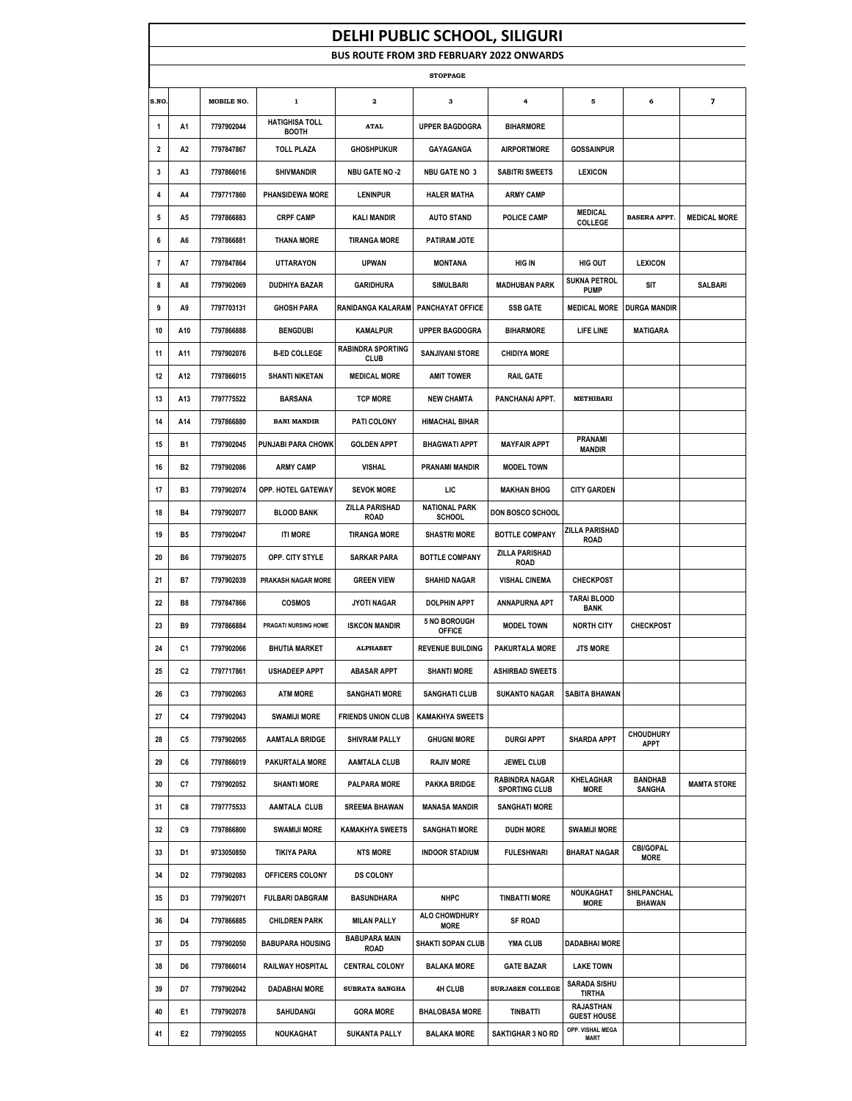|                         | <b>DELHI PUBLIC SCHOOL, SILIGURI</b> |            |                                       |                                                 |                                       |                                               |                                      |                                 |                          |  |  |
|-------------------------|--------------------------------------|------------|---------------------------------------|-------------------------------------------------|---------------------------------------|-----------------------------------------------|--------------------------------------|---------------------------------|--------------------------|--|--|
|                         |                                      |            |                                       | <b>BUS ROUTE FROM 3RD FEBRUARY 2022 ONWARDS</b> |                                       |                                               |                                      |                                 |                          |  |  |
| <b>STOPPAGE</b>         |                                      |            |                                       |                                                 |                                       |                                               |                                      |                                 |                          |  |  |
| S.NO                    |                                      | MOBILE NO. | $\mathbf 1$                           | $\mathbf{2}$                                    | 3                                     | $\ddot{\phantom{a}}$                          | 5                                    | 6                               | $\overline{\phantom{a}}$ |  |  |
| 1                       | A1                                   | 7797902044 | <b>HATIGHISA TOLL</b><br><b>BOOTH</b> | <b>ATAL</b>                                     | <b>UPPER BAGDOGRA</b>                 | <b>BIHARMORE</b>                              |                                      |                                 |                          |  |  |
| 2                       | А2                                   | 7797847867 | <b>TOLL PLAZA</b>                     | <b>GHOSHPUKUR</b>                               | GAYAGANGA                             | <b>AIRPORTMORE</b>                            | <b>GOSSAINPUR</b>                    |                                 |                          |  |  |
| 3                       | A3                                   | 7797866016 | <b>SHIVMANDIR</b>                     | <b>NBU GATE NO -2</b>                           | <b>NBU GATE NO 3</b>                  | <b>SABITRI SWEETS</b>                         | <b>LEXICON</b>                       |                                 |                          |  |  |
| 4                       | A4                                   | 7797717860 | <b>PHANSIDEWA MORE</b>                | <b>LENINPUR</b>                                 | <b>HALER MATHA</b>                    | <b>ARMY CAMP</b>                              |                                      |                                 |                          |  |  |
| 5                       | A5                                   | 7797866883 | <b>CRPF CAMP</b>                      | <b>KALI MANDIR</b>                              | <b>AUTO STAND</b>                     | <b>POLICE CAMP</b>                            | MEDICAL<br><b>COLLEGE</b>            | <b>BASERA APPT.</b>             | <b>MEDICAL MORE</b>      |  |  |
| 6                       | A6                                   | 7797866881 | <b>THANA MORE</b>                     | <b>TIRANGA MORE</b>                             | PATIRAM JOTE                          |                                               |                                      |                                 |                          |  |  |
| $\overline{\mathbf{r}}$ | A7                                   | 7797847864 | <b>UTTARAYON</b>                      | <b>UPWAN</b>                                    | <b>MONTANA</b>                        | <b>HIG IN</b>                                 | HIG OUT                              | <b>LEXICON</b>                  |                          |  |  |
| 8                       | A8                                   | 7797902069 | <b>DUDHIYA BAZAR</b>                  | <b>GARIDHURA</b>                                | <b>SIMULBARI</b>                      | <b>MADHUBAN PARK</b>                          | <b>SUKNA PETROL</b><br><b>PUMP</b>   | SIT                             | <b>SALBARI</b>           |  |  |
| 9                       | A9                                   | 7797703131 | <b>GHOSH PARA</b>                     | RANIDANGA KALARAM                               | <b>PANCHAYAT OFFICE</b>               | <b>SSB GATE</b>                               | <b>MEDICAL MORE</b>                  | <b>DURGA MANDIR</b>             |                          |  |  |
| 10                      | A10                                  | 7797866888 | <b>BENGDUBI</b>                       | <b>KAMALPUR</b>                                 | <b>UPPER BAGDOGRA</b>                 | <b>BIHARMORE</b>                              | <b>LIFE LINE</b>                     | MATIGARA                        |                          |  |  |
| 11                      | A11                                  | 7797902076 | <b>B-ED COLLEGE</b>                   | <b>RABINDRA SPORTING</b><br><b>CLUB</b>         | <b>SANJIVANI STORE</b>                | <b>CHIDIYA MORE</b>                           |                                      |                                 |                          |  |  |
| 12                      | A12                                  | 7797866015 | <b>SHANTI NIKETAN</b>                 | <b>MEDICAL MORE</b>                             | <b>AMIT TOWER</b>                     | <b>RAIL GATE</b>                              |                                      |                                 |                          |  |  |
| 13                      | A13                                  | 7797775522 | <b>BARSANA</b>                        | <b>TCP MORE</b>                                 | <b>NEW CHAMTA</b>                     | PANCHANAI APPT.                               | <b>METHIBARI</b>                     |                                 |                          |  |  |
| 14                      | A14                                  | 7797866880 | <b>BANI MANDIR</b>                    | PATI COLONY                                     | <b>HIMACHAL BIHAR</b>                 |                                               |                                      |                                 |                          |  |  |
| 15                      | <b>B1</b>                            | 7797902045 | PUNJABI PARA CHOWK                    | <b>GOLDEN APPT</b>                              | <b>BHAGWATI APPT</b>                  | <b>MAYFAIR APPT</b>                           | <b>PRANAMI</b><br>MANDIR             |                                 |                          |  |  |
| 16                      | <b>B2</b>                            | 7797902086 | <b>ARMY CAMP</b>                      | VISHAL                                          | <b>PRANAMI MANDIR</b>                 | <b>MODEL TOWN</b>                             |                                      |                                 |                          |  |  |
| 17                      | B3                                   | 7797902074 | OPP. HOTEL GATEWAY                    | <b>SEVOK MORE</b>                               | LIC                                   | <b>MAKHAN BHOG</b>                            | <b>CITY GARDEN</b>                   |                                 |                          |  |  |
| 18                      | <b>B4</b>                            | 7797902077 | <b>BLOOD BANK</b>                     | <b>ZILLA PARISHAD</b><br><b>ROAD</b>            | <b>NATIONAL PARK</b><br><b>SCHOOL</b> | DON BOSCO SCHOOL                              |                                      |                                 |                          |  |  |
| 19                      | <b>B5</b>                            | 7797902047 | <b>ITI MORE</b>                       | <b>TIRANGA MORE</b>                             | <b>SHASTRI MORE</b>                   | <b>BOTTLE COMPANY</b>                         | ZILLA PARISHAD<br><b>ROAD</b>        |                                 |                          |  |  |
| 20                      | B6                                   | 7797902075 | OPP. CITY STYLE                       | <b>SARKAR PARA</b>                              | <b>BOTTLE COMPANY</b>                 | <b>ZILLA PARISHAD</b><br><b>ROAD</b>          |                                      |                                 |                          |  |  |
| 21                      | <b>B7</b>                            | 7797902039 | PRAKASH NAGAR MORE                    | <b>GREEN VIEW</b>                               | <b>SHAHID NAGAR</b>                   | <b>VISHAL CINEMA</b>                          | <b>CHECKPOST</b>                     |                                 |                          |  |  |
| 22                      | B8                                   | 7797847866 | <b>COSMOS</b>                         | <b>JYOTI NAGAR</b>                              | <b>DOLPHIN APPT</b>                   | <b>ANNAPURNA APT</b>                          | <b>TARAI BLOOD</b><br><b>BANK</b>    |                                 |                          |  |  |
| 23                      | B9                                   | 7797866884 | PRAGATI NURSING HOME                  | <b>ISKCON MANDIR</b>                            | <b>5 NO BOROUGH</b><br><b>OFFICE</b>  | <b>MODEL TOWN</b>                             | <b>NORTH CITY</b>                    | <b>CHECKPOST</b>                |                          |  |  |
| 24                      | C1                                   | 7797902066 | <b>BHUTIA MARKET</b>                  | <b>ALPHABET</b>                                 | <b>REVENUE BUILDING</b>               | <b>PAKURTALA MORE</b>                         | <b>JTS MORE</b>                      |                                 |                          |  |  |
| 25                      | C2                                   | 7797717861 | <b>USHADEEP APPT</b>                  | <b>ABASAR APPT</b>                              | <b>SHANTI MORE</b>                    | <b>ASHIRBAD SWEETS</b>                        |                                      |                                 |                          |  |  |
| 26                      | C3                                   | 7797902063 | <b>ATM MORE</b>                       | <b>SANGHATI MORE</b>                            | <b>SANGHATI CLUB</b>                  | <b>SUKANTO NAGAR</b>                          | <b>SABITA BHAWAN</b>                 |                                 |                          |  |  |
| 27                      | C4                                   | 7797902043 | <b>SWAMIJI MORE</b>                   | <b>FRIENDS UNION CLUB</b>                       | <b>KAMAKHYA SWEETS</b>                |                                               |                                      |                                 |                          |  |  |
| 28                      | C5                                   | 7797902065 | <b>AAMTALA BRIDGE</b>                 | <b>SHIVRAM PALLY</b>                            | <b>GHUGNI MORE</b>                    | <b>DURGI APPT</b>                             | <b>SHARDA APPT</b>                   | <b>CHOUDHURY</b><br>APPT        |                          |  |  |
| 29                      | C6                                   | 7797866019 | <b>PAKURTALA MORE</b>                 | <b>AAMTALA CLUB</b>                             | <b>RAJIV MORE</b>                     | JEWEL CLUB                                    |                                      |                                 |                          |  |  |
| 30                      | C7                                   | 7797902052 | <b>SHANTI MORE</b>                    | <b>PALPARA MORE</b>                             | <b>PAKKA BRIDGE</b>                   | <b>RABINDRA NAGAR</b><br><b>SPORTING CLUB</b> | <b>KHELAGHAR</b><br><b>MORE</b>      | BANDHAB<br><b>SANGHA</b>        | <b>MAMTA STORE</b>       |  |  |
| 31                      | C8                                   | 7797775533 | AAMTALA CLUB                          | <b>SREEMA BHAWAN</b>                            | <b>MANASA MANDIR</b>                  | <b>SANGHATI MORE</b>                          |                                      |                                 |                          |  |  |
| 32                      | C9                                   | 7797866800 | <b>SWAMIJI MORE</b>                   | <b>KAMAKHYA SWEETS</b>                          | <b>SANGHATI MORE</b>                  | <b>DUDH MORE</b>                              | <b>SWAMIJI MORE</b>                  |                                 |                          |  |  |
| 33                      | D1                                   | 9733050850 | TIKIYA PARA                           | <b>NTS MORE</b>                                 | <b>INDOOR STADIUM</b>                 | <b>FULESHWARI</b>                             | <b>BHARAT NAGAR</b>                  | <b>CBI/GOPAL</b><br><b>MORE</b> |                          |  |  |
| 34                      | D2                                   | 7797902083 | OFFICERS COLONY                       | <b>DS COLONY</b>                                |                                       |                                               |                                      |                                 |                          |  |  |
| 35                      | D3                                   | 7797902071 | <b>FULBARI DABGRAM</b>                | <b>BASUNDHARA</b>                               | <b>NHPC</b>                           | <b>TINBATTI MORE</b>                          | NOUKAGHAT<br><b>MORE</b>             | SHILPANCHAL<br><b>BHAWAN</b>    |                          |  |  |
| 36                      | D4                                   | 7797866885 | <b>CHILDREN PARK</b>                  | <b>MILAN PALLY</b>                              | ALO CHOWDHURY<br><b>MORE</b>          | <b>SF ROAD</b>                                |                                      |                                 |                          |  |  |
| 37                      | D5                                   | 7797902050 | <b>BABUPARA HOUSING</b>               | <b>BABUPARA MAIN</b><br>ROAD                    | <b>SHAKTI SOPAN CLUB</b>              | <b>YMA CLUB</b>                               | <b>DADABHAI MORE</b>                 |                                 |                          |  |  |
| 38                      | D6                                   | 7797866014 | <b>RAILWAY HOSPITAL</b>               | <b>CENTRAL COLONY</b>                           | <b>BALAKA MORE</b>                    | <b>GATE BAZAR</b>                             | <b>LAKE TOWN</b>                     |                                 |                          |  |  |
| 39                      | D7                                   | 7797902042 | <b>DADABHAI MORE</b>                  | SUBRATA SANGHA                                  | <b>4H CLUB</b>                        | SURJASEN COLLEGE                              | <b>SARADA SISHU</b><br><b>TIRTHA</b> |                                 |                          |  |  |
| 40                      | E1                                   | 7797902078 | SAHUDANGI                             | <b>GORA MORE</b>                                | <b>BHALOBASA MORE</b>                 | <b>TINBATTI</b>                               | RAJASTHAN<br><b>GUEST HOUSE</b>      |                                 |                          |  |  |
| 41                      | E2                                   | 7797902055 | NOUKAGHAT                             | <b>SUKANTA PALLY</b>                            | <b>BALAKA MORE</b>                    | <b>SAKTIGHAR 3 NO RD</b>                      | OPP. VISHAL MEGA<br><b>MART</b>      |                                 |                          |  |  |